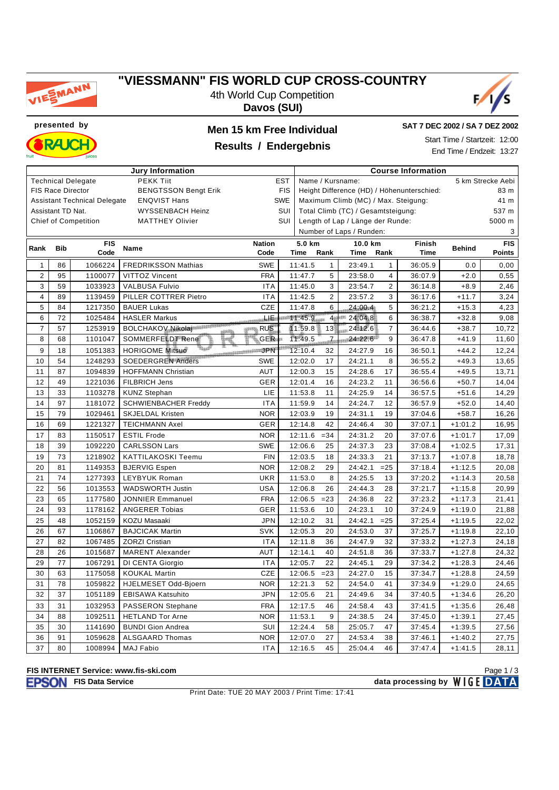

### **"VIESSMANN" FIS WORLD CUP CROSS-COUNTRY**

4th World Cup Competition **Davos (SUI)**



**presented by Men 15 km Free Individual**



# **Results / Endergebnis**

**SAT 7 DEC 2002 / SA 7 DEZ 2002**

Start Time / Startzeit: 12:00 End Time / Endzeit: 13:27

| <b>Jury Information</b> |                                                              |                                     |                                  |                       |            | <b>Course Information</b>                          |                                            |                                       |                |             |               |               |  |  |  |
|-------------------------|--------------------------------------------------------------|-------------------------------------|----------------------------------|-----------------------|------------|----------------------------------------------------|--------------------------------------------|---------------------------------------|----------------|-------------|---------------|---------------|--|--|--|
|                         | <b>PEKK Tiit</b><br><b>Technical Delegate</b><br><b>EST</b>  |                                     |                                  |                       |            |                                                    |                                            | Name / Kursname:<br>5 km Strecke Aebi |                |             |               |               |  |  |  |
|                         | <b>FIS Race Director</b>                                     |                                     | <b>BENGTSSON Bengt Erik</b>      |                       | <b>FIS</b> | Height Difference (HD) / Höhenunterschied:<br>83 m |                                            |                                       |                |             |               |               |  |  |  |
|                         |                                                              | <b>Assistant Technical Delegate</b> | <b>ENQVIST Hans</b>              |                       | <b>SWE</b> | Maximum Climb (MC) / Max. Steigung:<br>41 m        |                                            |                                       |                |             |               |               |  |  |  |
|                         | Assistant TD Nat.                                            |                                     | WYSSENBACH Heinz                 |                       | SUI        | Total Climb (TC) / Gesamtsteigung:<br>537 m        |                                            |                                       |                |             |               |               |  |  |  |
|                         | SUI<br><b>Chief of Competition</b><br><b>MATTHEY Olivier</b> |                                     |                                  |                       |            |                                                    | Length of Lap / Länge der Runde:<br>5000 m |                                       |                |             |               |               |  |  |  |
|                         |                                                              |                                     |                                  |                       |            | Number of Laps / Runden:<br>3                      |                                            |                                       |                |             |               |               |  |  |  |
| Rank                    | <b>Bib</b>                                                   | <b>FIS</b>                          | Name                             | <b>Nation</b>         |            | 5.0 km                                             |                                            | 10.0 km                               |                | Finish      | <b>Behind</b> | <b>FIS</b>    |  |  |  |
|                         |                                                              | Code                                |                                  | Code                  |            | Time                                               | Rank                                       | Time                                  | Rank           | <b>Time</b> |               | <b>Points</b> |  |  |  |
| $\mathbf{1}$            | 86                                                           | 1066224                             | <b>FREDRIKSSON Mathias</b>       | <b>SWE</b>            |            | 11:41.5                                            | $\mathbf{1}$                               | 23:49.1                               | $\mathbf{1}$   | 36:05.9     | 0.0           | 0,00          |  |  |  |
| $\overline{c}$          | 95                                                           | 1100077                             | VITTOZ Vincent                   | <b>FRA</b>            |            | 11:47.7                                            | 5                                          | 23:58.0                               | 4              | 36:07.9     | $+2.0$        | 0,55          |  |  |  |
| 3                       | 59                                                           | 1033923                             | <b>VALBUSA Fulvio</b>            | <b>ITA</b>            |            | 11:45.0                                            | 3                                          | 23:54.7                               | $\overline{2}$ | 36:14.8     | $+8.9$        | 2,46          |  |  |  |
| $\overline{\mathbf{4}}$ | 89                                                           | 1139459                             | PILLER COTTRER Pietro            | <b>ITA</b>            |            | 11:42.5                                            | $\overline{2}$                             | 23:57.2                               | 3              | 36:17.6     | $+11.7$       | 3,24          |  |  |  |
| $\sqrt{5}$              | 84                                                           | 1217350                             | <b>BAUER Lukas</b>               | <b>CZE</b>            |            | 11:47.8                                            | 6                                          | 24:00.4                               | 5              | 36:21.2     | $+15.3$       | 4,23          |  |  |  |
| 6                       | 72                                                           | 1025484                             | <b>HASLER Markus</b>             | postern               |            | 11.45.9                                            | 4 <sup>1</sup>                             | 24:04.8                               | 6              | 36:38.7     | $+32.8$       | 9,08          |  |  |  |
| $\overline{7}$          | 57                                                           | 1253919                             | <b>BOLCHAKOV Nikolaj</b><br>4949 | <b>RUS</b><br>JOSEFFE |            | 11:59.8                                            | 13                                         | 24:12.6                               | $\overline{7}$ | 36:44.6     | $+38.7$       | 10,72         |  |  |  |
| 8                       | 68                                                           | 1101047                             | SOMMERFELDT Rene                 | GER-                  |            | 11:49.5                                            | $-I2$                                      | 24:22.6                               | 9              | 36:47.8     | $+41.9$       | 11,60         |  |  |  |
| 9                       | 18                                                           | 1051383                             | <b>HORIGOME Mitsuo</b>           | <b>MARKET STATES</b>  |            | 12:10.4                                            | 32                                         | 24:27.9                               | 16             | 36:50.1     | $+44.2$       | 12,24         |  |  |  |
| 10                      | 54                                                           | 1248293                             | <b>SOEDERGREN Anders</b>         | <b>SWE</b>            |            | 12:02.0                                            | 17                                         | 24:21.1                               | 8              | 36:55.2     | $+49.3$       | 13,65         |  |  |  |
| 11                      | 87                                                           | 1094839                             | <b>HOFFMANN Christian</b>        | <b>AUT</b>            |            | 12:00.3                                            | 15                                         | 24:28.6                               | 17             | 36:55.4     | $+49.5$       | 13.71         |  |  |  |
| 12                      | 49                                                           | 1221036                             | FILBRICH Jens                    | GER                   |            | 12:01.4                                            | 16                                         | 24:23.2                               | 11             | 36:56.6     | $+50.7$       | 14,04         |  |  |  |
| 13                      | 33                                                           | 1103278                             | <b>KUNZ Stephan</b>              | LIE                   |            | 11:53.8                                            | 11                                         | 24:25.9                               | 14             | 36:57.5     | $+51.6$       | 14,29         |  |  |  |
| 14                      | 97                                                           | 1181072                             | <b>SCHWIENBACHER Freddy</b>      | <b>ITA</b>            |            | 11:59.9                                            | 14                                         | 24:24.7                               | 12             | 36:57.9     | $+52.0$       | 14,40         |  |  |  |
| 15                      | 79                                                           | 1029461                             | <b>SKJELDAL Kristen</b>          | <b>NOR</b>            |            | 12:03.9                                            | 19                                         | 24:31.1                               | 19             | 37:04.6     | $+58.7$       | 16,26         |  |  |  |
| 16                      | 69                                                           | 1221327                             | <b>TEICHMANN Axel</b>            | <b>GER</b>            |            | 12:14.8                                            | 42                                         | 24:46.4                               | 30             | 37:07.1     | $+1:01.2$     | 16,95         |  |  |  |
| 17                      | 83                                                           | 1150517                             | <b>ESTIL Frode</b>               | <b>NOR</b>            |            | 12:11.6                                            | $= 34$                                     | 24:31.2                               | 20             | 37:07.6     | $+1:01.7$     | 17,09         |  |  |  |
| 18                      | 39                                                           | 1092220                             | <b>CARLSSON Lars</b>             | <b>SWE</b>            |            | 12:06.6                                            | 25                                         | 24:37.3                               | 23             | 37:08.4     | $+1:02.5$     | 17,31         |  |  |  |
| 19                      | 73                                                           | 1218902                             | <b>KATTILAKOSKI Teemu</b>        | <b>FIN</b>            |            | 12:03.5                                            | 18                                         | 24:33.3                               | 21             | 37:13.7     | $+1:07.8$     | 18,78         |  |  |  |
| 20                      | 81                                                           | 1149353                             | <b>BJERVIG Espen</b>             | <b>NOR</b>            |            | 12:08.2                                            | 29                                         | 24:42.1                               | $=25$          | 37:18.4     | $+1:12.5$     | 20,08         |  |  |  |
| 21                      | 74                                                           | 1277393                             | LEYBYUK Roman                    | <b>UKR</b>            |            | 11:53.0                                            | 8                                          | 24:25.5                               | 13             | 37:20.2     | $+1:14.3$     | 20,58         |  |  |  |
| 22                      | 56                                                           | 1013553                             | <b>WADSWORTH Justin</b>          | <b>USA</b>            |            | 12:06.8                                            | 26                                         | 24:44.3                               | 28             | 37:21.7     | $+1:15.8$     | 20,99         |  |  |  |
| 23                      | 65                                                           | 1177580                             | <b>JONNIER Emmanuel</b>          | <b>FRA</b>            |            | 12:06.5                                            | $= 23$                                     | 24:36.8                               | 22             | 37:23.2     | $+1:17.3$     | 21,41         |  |  |  |
| 24                      | 93                                                           | 1178162                             | <b>ANGERER Tobias</b>            | GER                   |            | 11:53.6                                            | 10                                         | 24:23.1                               | 10             | 37:24.9     | $+1:19.0$     | 21,88         |  |  |  |
| 25                      | 48                                                           | 1052159                             | KOZU Masaaki                     | <b>JPN</b>            |            | 12:10.2                                            | 31                                         | 24:42.1                               | $=25$          | 37:25.4     | $+1:19.5$     | 22,02         |  |  |  |
| 26                      | 67                                                           | 1106867                             | <b>BAJCICAK Martin</b>           | <b>SVK</b>            |            | 12:05.3                                            | 20                                         | 24:53.0                               | 37             | 37:25.7     | $+1:19.8$     | 22,10         |  |  |  |
| 27                      | 82                                                           | 1067485                             | <b>ZORZI Cristian</b>            | <b>ITA</b>            |            | 12:11.8                                            | 36                                         | 24:47.9                               | 32             | 37:33.2     | $+1:27.3$     | 24,18         |  |  |  |
| 28                      | 26                                                           | 1015687                             | <b>MARENT Alexander</b>          | <b>AUT</b>            |            | 12:14.1                                            | 40                                         | 24:51.8                               | 36             | 37:33.7     | $+1:27.8$     | 24,32         |  |  |  |
| 29                      | 77                                                           | 1067291                             | DI CENTA Giorgio                 | <b>ITA</b>            |            | 12:05.7                                            | 22                                         | 24:45.1                               | 29             | 37:34.2     | $+1:28.3$     | 24,46         |  |  |  |
| 30                      | 63                                                           | 1175058                             | <b>KOUKAL Martin</b>             | <b>CZE</b>            |            | 12:06.5                                            | $= 23$                                     | 24:27.0                               | 15             | 37:34.7     | $+1:28.8$     | 24,59         |  |  |  |
| 31                      | 78                                                           | 1059822                             | HJELMESET Odd-Bjoern             | <b>NOR</b>            |            | 12:21.3                                            | 52                                         | 24:54.0                               | 41             | 37:34.9     | $+1:29.0$     | 24,65         |  |  |  |
| 32                      | 37                                                           | 1051189                             | <b>EBISAWA Katsuhito</b>         | <b>JPN</b>            |            | 12:05.6                                            | 21                                         | 24:49.6                               | 34             | 37:40.5     | $+1:34.6$     | 26,20         |  |  |  |
| 33                      | 31                                                           | 1032953                             | <b>PASSERON Stephane</b>         | <b>FRA</b>            |            | 12:17.5                                            | 46                                         | 24:58.4                               | 43             | 37:41.5     | $+1:35.6$     | 26,48         |  |  |  |
| 34                      | 88                                                           | 1092511                             | <b>HETLAND Tor Arne</b>          | <b>NOR</b>            |            | 11:53.1                                            | 9                                          | 24:38.5                               | 24             | 37:45.0     | $+1:39.1$     | 27,45         |  |  |  |
| 35                      | 30                                                           | 1141690                             | <b>BUNDI Gion Andrea</b>         | SUI                   |            | 12:24.4                                            | 58                                         | 25:05.7                               | 47             | 37:45.4     | $+1:39.5$     | 27,56         |  |  |  |
| 36                      | 91                                                           | 1059628                             | <b>ALSGAARD Thomas</b>           | <b>NOR</b>            |            | 12:07.0                                            | 27                                         | 24:53.4                               | 38             | 37:46.1     | $+1:40.2$     | 27,75         |  |  |  |
| 37                      | 80                                                           | 1008994                             | <b>MAJ Fabio</b>                 | <b>ITA</b>            |            | 12:16.5                                            | 45                                         | 25:04.4                               | 46             | 37:47.4     | $+1:41.5$     | 28,11         |  |  |  |

### **FIS INTERNET Service: www.fis-ski.com**

**FISON** FIS Data Service **data processing by** WIGE DATA

Page 1 / 3

Print Date: TUE 20 MAY 2003 / Print Time: 17:41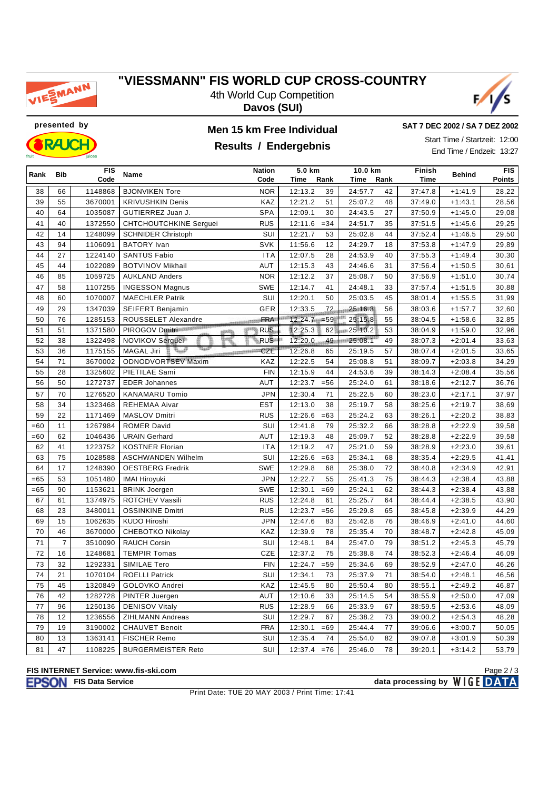

### **"VIESSMANN" FIS WORLD CUP CROSS-COUNTRY**

4th World Cup Competition **Davos (SUI)**



**presented by Men 15 km Free Individual**



### **Results / Endergebnis**

**SAT 7 DEC 2002 / SA 7 DEZ 2002**

Start Time / Startzeit: 12:00 End Time / Endzeit: 13:27

| Rank  | <b>Bib</b>     | <b>FIS</b> | Name                          | <b>Nation</b>         | 5.0 km            |         | 10.0 km |             | Behind    | <b>FIS</b> |
|-------|----------------|------------|-------------------------------|-----------------------|-------------------|---------|---------|-------------|-----------|------------|
|       |                | Code       |                               | Code                  | Time<br>Rank      | Time    | Rank    | <b>Time</b> |           | Points     |
| 38    | 66             | 1148868    | <b>BJONVIKEN Tore</b>         | <b>NOR</b>            | 12:13.2<br>39     | 24:57.7 | 42      | 37:47.8     | $+1:41.9$ | 28,22      |
| 39    | 55             | 3670001    | <b>KRIVUSHKIN Denis</b>       | KAZ                   | 12:21.2<br>51     | 25:07.2 | 48      | 37:49.0     | $+1:43.1$ | 28,56      |
| 40    | 64             | 1035087    | GUTIERREZ Juan J.             | <b>SPA</b>            | 12:09.1<br>30     | 24:43.5 | 27      | 37:50.9     | $+1:45.0$ | 29,08      |
| 41    | 40             | 1372550    | <b>CHTCHOUTCHKINE Serguei</b> | <b>RUS</b>            | 12:11.6<br>$= 34$ | 24:51.7 | 35      | 37:51.5     | $+1:45.6$ | 29,25      |
| 42    | 14             | 1248099    | <b>SCHNIDER Christoph</b>     | SUI                   | 12:21.7<br>53     | 25:02.8 | 44      | 37:52.4     | $+1:46.5$ | 29,50      |
| 43    | 94             | 1106091    | <b>BATORY</b> Ivan            | <b>SVK</b>            | 11:56.6<br>12     | 24:29.7 | 18      | 37:53.8     | $+1:47.9$ | 29,89      |
| 44    | 27             | 1224140    | <b>SANTUS Fabio</b>           | <b>ITA</b>            | 12:07.5<br>28     | 24:53.9 | 40      | 37:55.3     | $+1:49.4$ | 30,30      |
| 45    | 44             | 1022089    | <b>BOTVINOV Mikhail</b>       | <b>AUT</b>            | 12:15.3<br>43     | 24:46.6 | 31      | 37:56.4     | $+1:50.5$ | 30,61      |
| 46    | 85             | 1059725    | <b>AUKLAND Anders</b>         | <b>NOR</b>            | 12:12.2<br>37     | 25:08.7 | 50      | 37:56.9     | $+1:51.0$ | 30,74      |
| 47    | 58             | 1107255    | <b>INGESSON Magnus</b>        | <b>SWE</b>            | 12:14.7<br>41     | 24:48.1 | 33      | 37:57.4     | $+1:51.5$ | 30,88      |
| 48    | 60             | 1070007    | <b>MAECHLER Patrik</b>        | SUI                   | 12:20.1<br>50     | 25:03.5 | 45      | 38:01.4     | $+1:55.5$ | 31,99      |
| 49    | 29             | 1347039    | <b>SEIFERT Benjamin</b>       | GER                   | 72<br>12:33.5     | 25:16.3 | 56      | 38:03.6     | $+1:57.7$ | 32,60      |
| 50    | 76             | 1285153    | ROUSSELET Alexandre           | <b>BULLERING FRAT</b> | $12:24.7 = 59$    | 25:15.8 | 55      | 38:04.5     | $+1:58.6$ | 32,85      |
| 51    | 51             | 1371580    | PIROGOV Dmitri                | <b>RUS</b>            | 12:25.3<br>62     | 25:10.2 | 53      | 38:04.9     | $+1:59.0$ | 32,96      |
| 52    | 38             | 1322498    | NOVIKOV Serguei               | <b>RUS</b>            | 12:20.0<br>49     | 25:08.1 | 49      | 38:07.3     | $+2:01.4$ | 33,63      |
| 53    | 36             | 1175155    | بجنبية<br><b>MAGAL Jiri</b>   | <b>CZE</b>            | 12:26.8<br>65     | 25:19.5 | 57      | 38:07.4     | $+2:01.5$ | 33,65      |
| 54    | 71             | 3670002    | <b>ODNODVORTSEV Maxim</b>     | KAZ                   | 12:22.5<br>54     | 25:08.8 | 51      | 38:09.7     | $+2:03.8$ | 34,29      |
| 55    | 28             | 1325602    | PIETILAE Sami                 | <b>FIN</b>            | 12:15.9<br>44     | 24:53.6 | 39      | 38:14.3     | $+2:08.4$ | 35,56      |
| 56    | 50             | 1272737    | <b>EDER Johannes</b>          | AUT                   | 12:23.7<br>$= 56$ | 25:24.0 | 61      | 38:18.6     | $+2:12.7$ | 36,76      |
| 57    | 70             | 1276520    | <b>KANAMARU Tomio</b>         | <b>JPN</b>            | 71<br>12:30.4     | 25:22.5 | 60      | 38:23.0     | $+2:17.1$ | 37,97      |
| 58    | 34             | 1323468    | <b>REHEMAA Aivar</b>          | <b>EST</b>            | 12:13.0<br>38     | 25:19.7 | 58      | 38:25.6     | $+2:19.7$ | 38,69      |
| 59    | 22             | 1171469    | <b>MASLOV Dmitri</b>          | <b>RUS</b>            | 12:26.6<br>$=63$  | 25:24.2 | 63      | 38:26.1     | $+2:20.2$ | 38,83      |
| $=60$ | 11             | 1267984    | <b>ROMER David</b>            | SUI                   | 79<br>12:41.8     | 25:32.2 | 66      | 38:28.8     | $+2:22.9$ | 39,58      |
| $=60$ | 62             | 1046436    | <b>URAIN Gerhard</b>          | <b>AUT</b>            | 12:19.3<br>48     | 25:09.7 | 52      | 38:28.8     | $+2:22.9$ | 39,58      |
| 62    | 41             | 1223752    | <b>KOSTNER Florian</b>        | <b>ITA</b>            | 12:19.2<br>47     | 25:21.0 | 59      | 38:28.9     | $+2:23.0$ | 39,61      |
| 63    | 75             | 1028588    | <b>ASCHWANDEN Wilhelm</b>     | SUI                   | 12:26.6<br>$=63$  | 25:34.1 | 68      | 38:35.4     | $+2:29.5$ | 41,41      |
| 64    | 17             | 1248390    | <b>OESTBERG Fredrik</b>       | <b>SWE</b>            | 12:29.8<br>68     | 25:38.0 | 72      | 38:40.8     | $+2:34.9$ | 42,91      |
| $=65$ | 53             | 1051480    | <b>IMAI Hiroyuki</b>          | <b>JPN</b>            | 12:22.7<br>55     | 25:41.3 | 75      | 38:44.3     | $+2:38.4$ | 43,88      |
| $=65$ | 90             | 1153621    | <b>BRINK Joergen</b>          | <b>SWE</b>            | 12:30.1<br>$=69$  | 25:24.1 | 62      | 38:44.3     | $+2:38.4$ | 43,88      |
| 67    | 61             | 1374975    | ROTCHEV Vassili               | <b>RUS</b>            | 12:24.8<br>61     | 25:25.7 | 64      | 38:44.4     | $+2:38.5$ | 43,90      |
| 68    | 23             | 3480011    | <b>OSSINKINE Dmitri</b>       | <b>RUS</b>            | 12:23.7<br>$= 56$ | 25:29.8 | 65      | 38:45.8     | $+2:39.9$ | 44,29      |
| 69    | 15             | 1062635    | KUDO Hiroshi                  | <b>JPN</b>            | 12:47.6<br>83     | 25:42.8 | 76      | 38:46.9     | $+2:41.0$ | 44,60      |
| 70    | 46             | 3670000    | <b>CHEBOTKO Nikolay</b>       | KAZ                   | 12:39.9<br>78     | 25:35.4 | 70      | 38:48.7     | $+2:42.8$ | 45,09      |
| 71    | $\overline{7}$ | 3510090    | <b>RAUCH Corsin</b>           | SUI                   | 84<br>12:48.1     | 25:47.0 | 79      | 38:51.2     | $+2:45.3$ | 45,79      |
| 72    | 16             | 1248681    | <b>TEMPIR Tomas</b>           | <b>CZE</b>            | 12:37.2<br>75     | 25:38.8 | 74      | 38:52.3     | $+2:46.4$ | 46,09      |
| 73    | 32             | 1292331    | SIMILAE Tero                  | <b>FIN</b>            | 12:24.7<br>$= 59$ | 25:34.6 | 69      | 38:52.9     | $+2:47.0$ | 46,26      |
| 74    | 21             | 1070104    | <b>ROELLI Patrick</b>         | SUI                   | 73<br>12:34.1     | 25:37.9 | 71      | 38:54.0     | $+2:48.1$ | 46,56      |
| 75    | 45             | 1320849    | GOLOVKO Andrei                | KAZ                   | 12:45.5<br>80     | 25:50.4 | 80      | 38:55.1     | $+2:49.2$ | 46,87      |
| 76    | 42             | 1282728    | PINTER Juergen                | AUT                   | 12:10.6<br>33     | 25:14.5 | 54      | 38:55.9     | $+2:50.0$ | 47,09      |
| 77    | 96             | 1250136    | <b>DENISOV Vitaly</b>         | <b>RUS</b>            | 12:28.9<br>66     | 25:33.9 | 67      | 38:59.5     | $+2:53.6$ | 48,09      |
| 78    | 12             | 1236556    | <b>ZIHLMANN Andreas</b>       | SUI                   | 12:29.7<br>67     | 25:38.2 | 73      | 39:00.2     | $+2:54.3$ | 48,28      |
| 79    | 19             | 3190002    | <b>CHAUVET Benoit</b>         | <b>FRA</b>            | 12:30.1<br>$=69$  | 25:44.4 | 77      | 39:06.6     | $+3:00.7$ | 50,05      |
| 80    | 13             | 1363141    | FISCHER Remo                  | SUI                   | 12:35.4<br>74     | 25:54.0 | 82      | 39:07.8     | $+3:01.9$ | 50,39      |
| 81    | 47             | 1108225    | <b>BURGERMEISTER Reto</b>     | SUI                   | 12:37.4<br>$= 76$ | 25:46.0 | 78      | 39:20.1     | $+3:14.2$ | 53,79      |

### **FIS INTERNET Service: www.fis-ski.com**

**FISON** FIS Data Service **data processing by** WIGE DATA

Print Date: TUE 20 MAY 2003 / Print Time: 17:41

Page 2 / 3